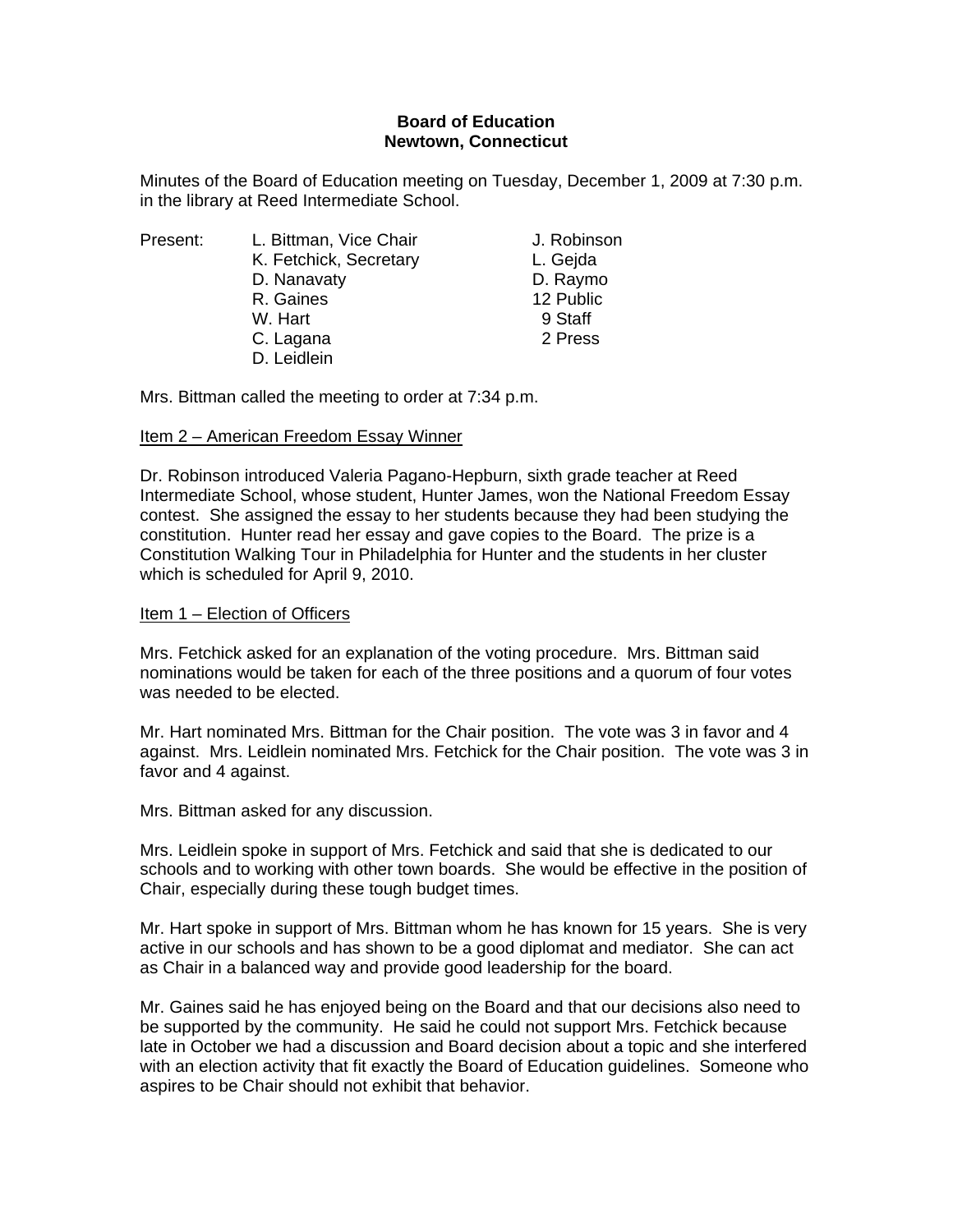# **Board of Education Newtown, Connecticut**

Minutes of the Board of Education meeting on Tuesday, December 1, 2009 at 7:30 p.m. in the library at Reed Intermediate School.

| Present: | L. Bittman, Vice Chair | J. Robinson |
|----------|------------------------|-------------|
|          | K. Fetchick, Secretary | L. Gejda    |
|          | D. Nanavaty            | D. Raymo    |
|          | R. Gaines              | 12 Public   |
|          | W. Hart                | 9 Staff     |
|          | C. Lagana              | 2 Press     |
|          | D. Leidlein            |             |
|          |                        |             |

Mrs. Bittman called the meeting to order at 7:34 p.m.

## Item 2 – American Freedom Essay Winner

Dr. Robinson introduced Valeria Pagano-Hepburn, sixth grade teacher at Reed Intermediate School, whose student, Hunter James, won the National Freedom Essay contest. She assigned the essay to her students because they had been studying the constitution. Hunter read her essay and gave copies to the Board. The prize is a Constitution Walking Tour in Philadelphia for Hunter and the students in her cluster which is scheduled for April 9, 2010.

## Item 1 – Election of Officers

Mrs. Fetchick asked for an explanation of the voting procedure. Mrs. Bittman said nominations would be taken for each of the three positions and a quorum of four votes was needed to be elected.

Mr. Hart nominated Mrs. Bittman for the Chair position. The vote was 3 in favor and 4 against. Mrs. Leidlein nominated Mrs. Fetchick for the Chair position. The vote was 3 in favor and 4 against.

Mrs. Bittman asked for any discussion.

Mrs. Leidlein spoke in support of Mrs. Fetchick and said that she is dedicated to our schools and to working with other town boards. She would be effective in the position of Chair, especially during these tough budget times.

Mr. Hart spoke in support of Mrs. Bittman whom he has known for 15 years. She is very active in our schools and has shown to be a good diplomat and mediator. She can act as Chair in a balanced way and provide good leadership for the board.

Mr. Gaines said he has enjoyed being on the Board and that our decisions also need to be supported by the community. He said he could not support Mrs. Fetchick because late in October we had a discussion and Board decision about a topic and she interfered with an election activity that fit exactly the Board of Education guidelines. Someone who aspires to be Chair should not exhibit that behavior.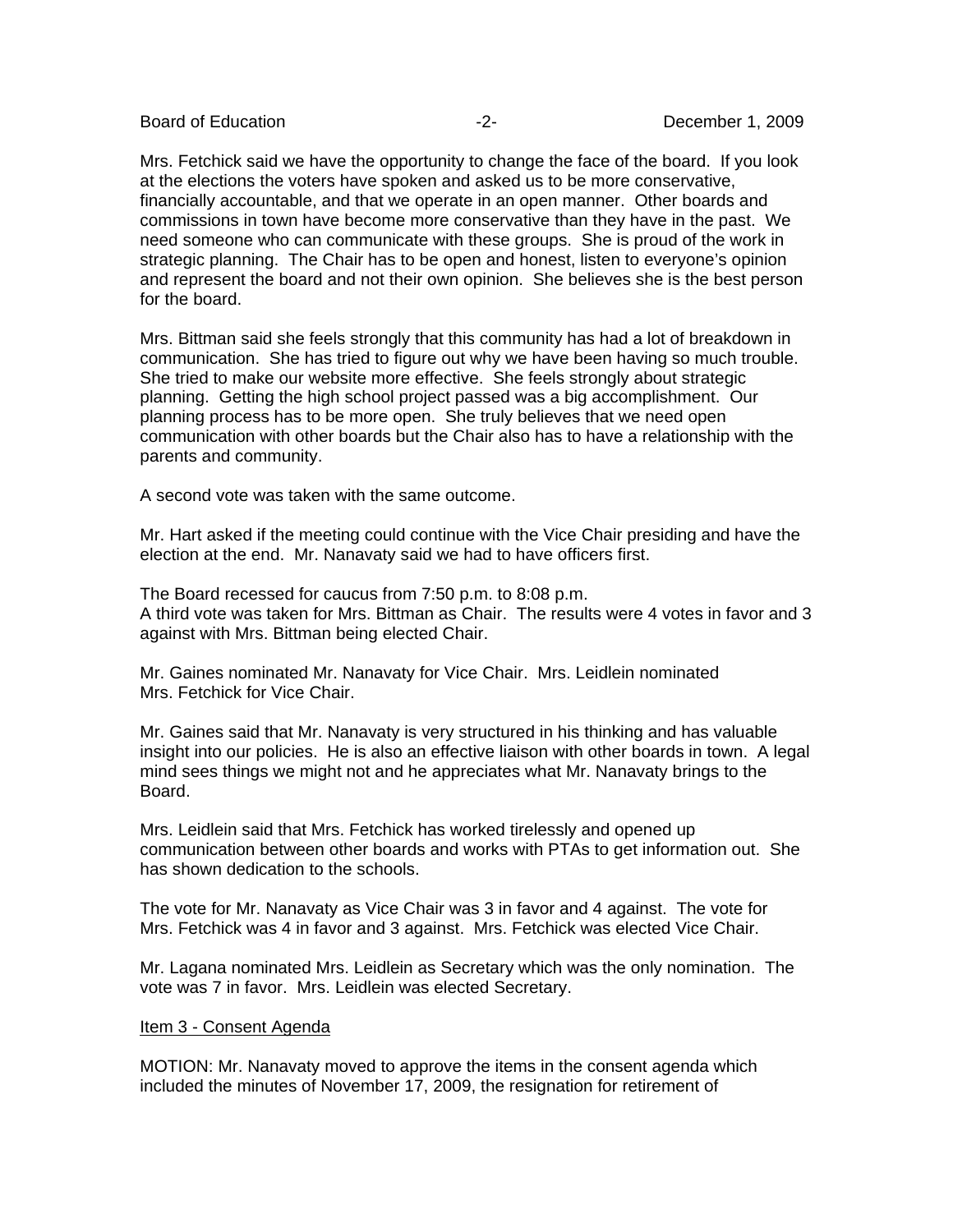Board of Education  $\overline{2}$ -<br>  $\overline{2}$ -<br>  $\overline{2}$ -<br>
December 1, 2009

Mrs. Fetchick said we have the opportunity to change the face of the board. If you look at the elections the voters have spoken and asked us to be more conservative, financially accountable, and that we operate in an open manner. Other boards and commissions in town have become more conservative than they have in the past. We need someone who can communicate with these groups. She is proud of the work in strategic planning. The Chair has to be open and honest, listen to everyone's opinion and represent the board and not their own opinion. She believes she is the best person for the board.

Mrs. Bittman said she feels strongly that this community has had a lot of breakdown in communication. She has tried to figure out why we have been having so much trouble. She tried to make our website more effective. She feels strongly about strategic planning. Getting the high school project passed was a big accomplishment. Our planning process has to be more open. She truly believes that we need open communication with other boards but the Chair also has to have a relationship with the parents and community.

A second vote was taken with the same outcome.

Mr. Hart asked if the meeting could continue with the Vice Chair presiding and have the election at the end. Mr. Nanavaty said we had to have officers first.

The Board recessed for caucus from 7:50 p.m. to 8:08 p.m. A third vote was taken for Mrs. Bittman as Chair. The results were 4 votes in favor and 3 against with Mrs. Bittman being elected Chair.

Mr. Gaines nominated Mr. Nanavaty for Vice Chair. Mrs. Leidlein nominated Mrs. Fetchick for Vice Chair.

Mr. Gaines said that Mr. Nanavaty is very structured in his thinking and has valuable insight into our policies. He is also an effective liaison with other boards in town. A legal mind sees things we might not and he appreciates what Mr. Nanavaty brings to the Board.

Mrs. Leidlein said that Mrs. Fetchick has worked tirelessly and opened up communication between other boards and works with PTAs to get information out. She has shown dedication to the schools.

The vote for Mr. Nanavaty as Vice Chair was 3 in favor and 4 against. The vote for Mrs. Fetchick was 4 in favor and 3 against. Mrs. Fetchick was elected Vice Chair.

Mr. Lagana nominated Mrs. Leidlein as Secretary which was the only nomination. The vote was 7 in favor. Mrs. Leidlein was elected Secretary.

## Item 3 - Consent Agenda

MOTION: Mr. Nanavaty moved to approve the items in the consent agenda which included the minutes of November 17, 2009, the resignation for retirement of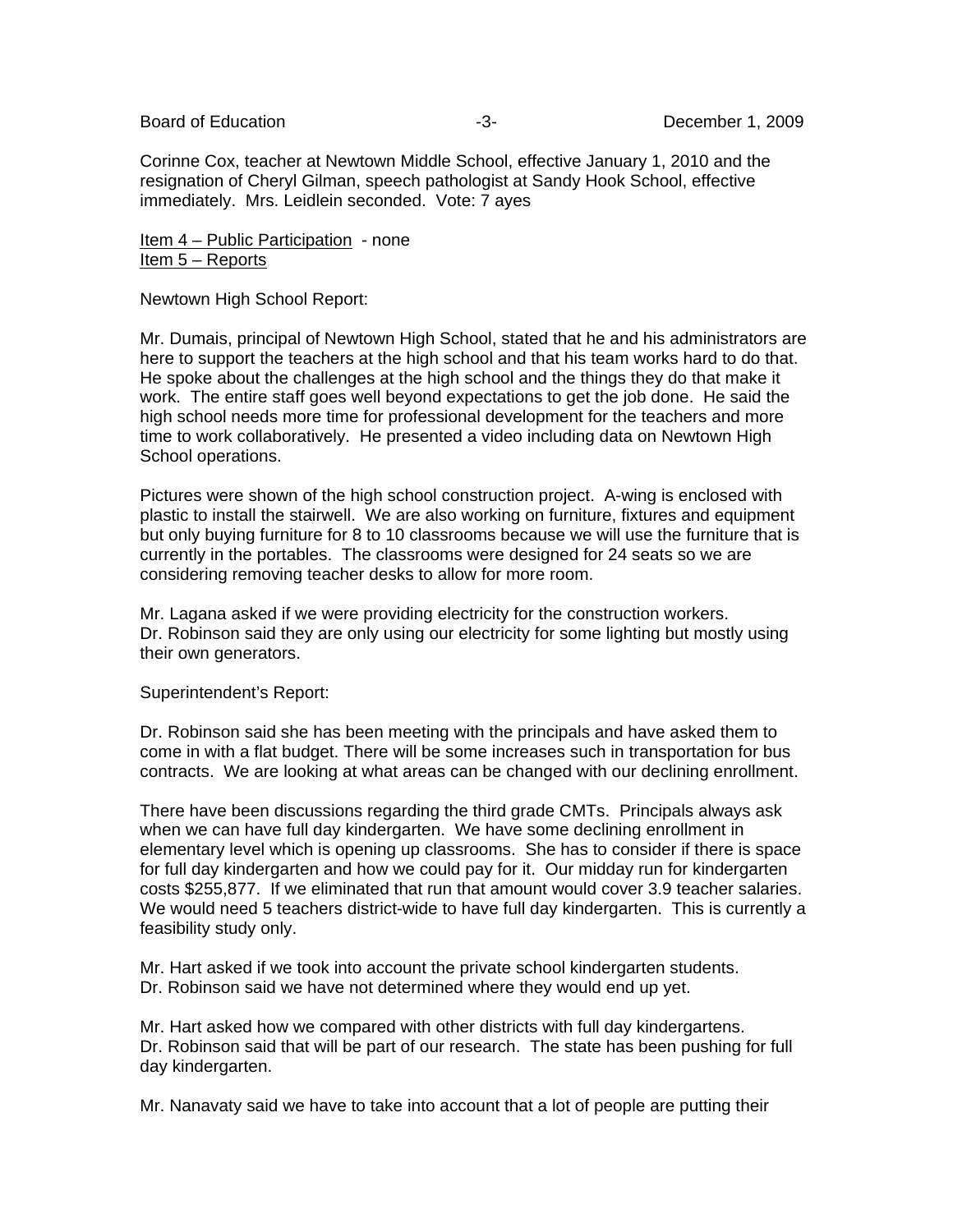Corinne Cox, teacher at Newtown Middle School, effective January 1, 2010 and the resignation of Cheryl Gilman, speech pathologist at Sandy Hook School, effective immediately. Mrs. Leidlein seconded. Vote: 7 ayes

Item 4 – Public Participation - none Item 5 – Reports

Newtown High School Report:

Mr. Dumais, principal of Newtown High School, stated that he and his administrators are here to support the teachers at the high school and that his team works hard to do that. He spoke about the challenges at the high school and the things they do that make it work. The entire staff goes well beyond expectations to get the job done. He said the high school needs more time for professional development for the teachers and more time to work collaboratively. He presented a video including data on Newtown High School operations.

Pictures were shown of the high school construction project. A-wing is enclosed with plastic to install the stairwell. We are also working on furniture, fixtures and equipment but only buying furniture for 8 to 10 classrooms because we will use the furniture that is currently in the portables. The classrooms were designed for 24 seats so we are considering removing teacher desks to allow for more room.

Mr. Lagana asked if we were providing electricity for the construction workers. Dr. Robinson said they are only using our electricity for some lighting but mostly using their own generators.

### Superintendent's Report:

Dr. Robinson said she has been meeting with the principals and have asked them to come in with a flat budget. There will be some increases such in transportation for bus contracts. We are looking at what areas can be changed with our declining enrollment.

There have been discussions regarding the third grade CMTs. Principals always ask when we can have full day kindergarten. We have some declining enrollment in elementary level which is opening up classrooms. She has to consider if there is space for full day kindergarten and how we could pay for it. Our midday run for kindergarten costs \$255,877. If we eliminated that run that amount would cover 3.9 teacher salaries. We would need 5 teachers district-wide to have full day kindergarten. This is currently a feasibility study only.

Mr. Hart asked if we took into account the private school kindergarten students. Dr. Robinson said we have not determined where they would end up yet.

Mr. Hart asked how we compared with other districts with full day kindergartens. Dr. Robinson said that will be part of our research. The state has been pushing for full day kindergarten.

Mr. Nanavaty said we have to take into account that a lot of people are putting their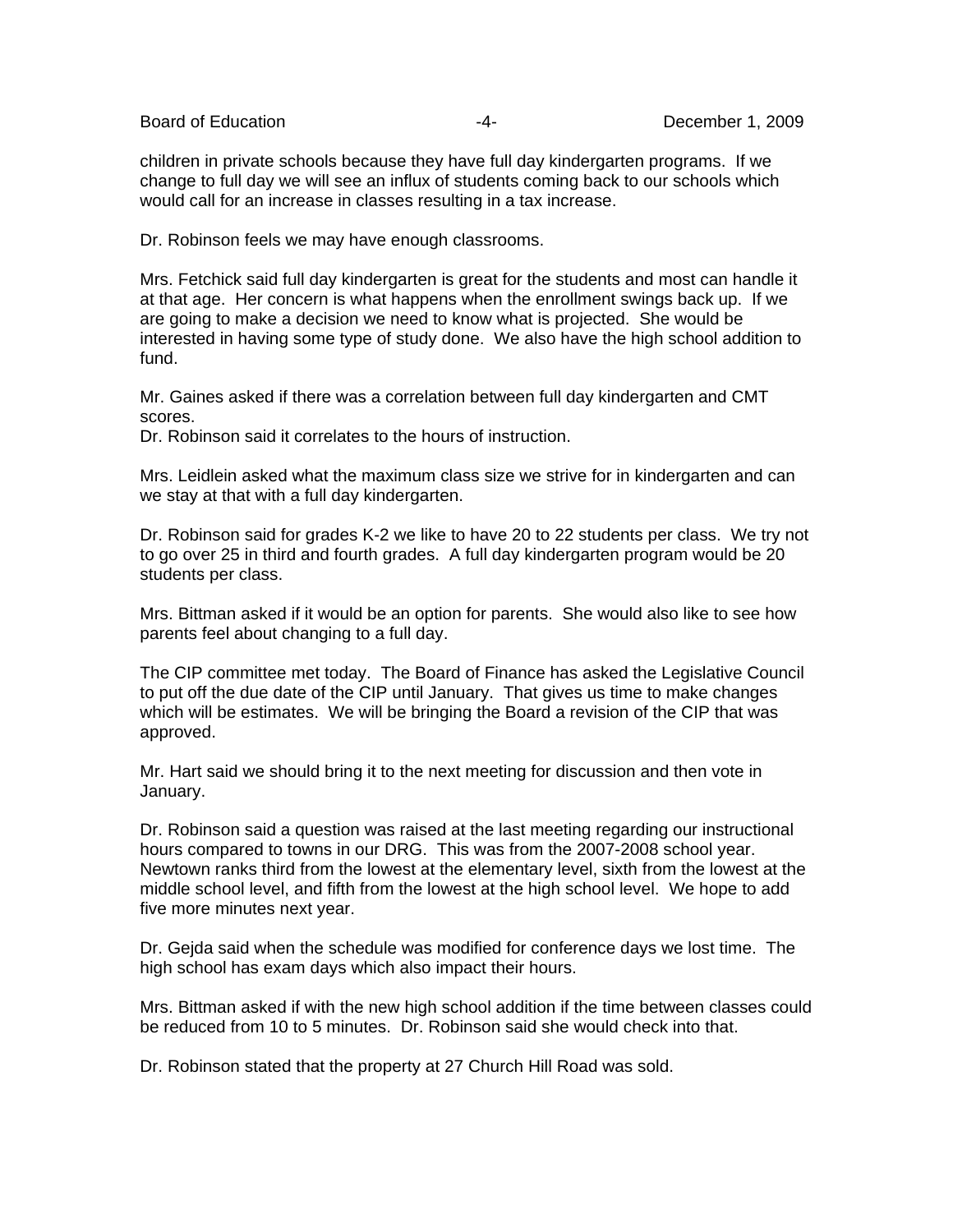Board of Education  $\overline{a}$  -4- Board of Education  $\overline{a}$ 

children in private schools because they have full day kindergarten programs. If we change to full day we will see an influx of students coming back to our schools which would call for an increase in classes resulting in a tax increase.

Dr. Robinson feels we may have enough classrooms.

Mrs. Fetchick said full day kindergarten is great for the students and most can handle it at that age. Her concern is what happens when the enrollment swings back up. If we are going to make a decision we need to know what is projected. She would be interested in having some type of study done. We also have the high school addition to fund.

Mr. Gaines asked if there was a correlation between full day kindergarten and CMT scores.

Dr. Robinson said it correlates to the hours of instruction.

Mrs. Leidlein asked what the maximum class size we strive for in kindergarten and can we stay at that with a full day kindergarten.

Dr. Robinson said for grades K-2 we like to have 20 to 22 students per class. We try not to go over 25 in third and fourth grades. A full day kindergarten program would be 20 students per class.

Mrs. Bittman asked if it would be an option for parents. She would also like to see how parents feel about changing to a full day.

The CIP committee met today. The Board of Finance has asked the Legislative Council to put off the due date of the CIP until January. That gives us time to make changes which will be estimates. We will be bringing the Board a revision of the CIP that was approved.

Mr. Hart said we should bring it to the next meeting for discussion and then vote in January.

Dr. Robinson said a question was raised at the last meeting regarding our instructional hours compared to towns in our DRG. This was from the 2007-2008 school year. Newtown ranks third from the lowest at the elementary level, sixth from the lowest at the middle school level, and fifth from the lowest at the high school level. We hope to add five more minutes next year.

Dr. Gejda said when the schedule was modified for conference days we lost time. The high school has exam days which also impact their hours.

Mrs. Bittman asked if with the new high school addition if the time between classes could be reduced from 10 to 5 minutes. Dr. Robinson said she would check into that.

Dr. Robinson stated that the property at 27 Church Hill Road was sold.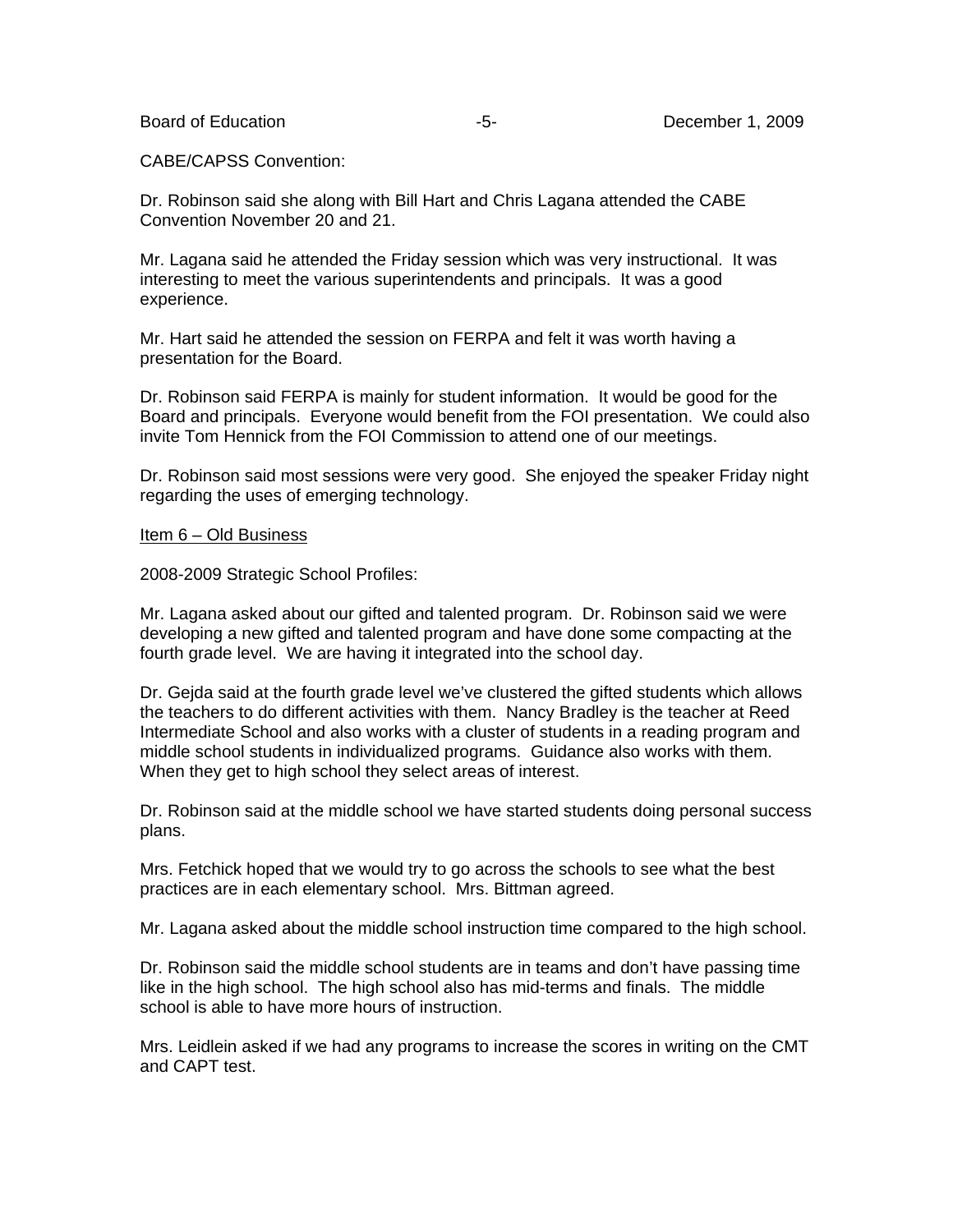CABE/CAPSS Convention:

Dr. Robinson said she along with Bill Hart and Chris Lagana attended the CABE Convention November 20 and 21.

Mr. Lagana said he attended the Friday session which was very instructional. It was interesting to meet the various superintendents and principals. It was a good experience.

Mr. Hart said he attended the session on FERPA and felt it was worth having a presentation for the Board.

Dr. Robinson said FERPA is mainly for student information. It would be good for the Board and principals. Everyone would benefit from the FOI presentation. We could also invite Tom Hennick from the FOI Commission to attend one of our meetings.

Dr. Robinson said most sessions were very good. She enjoyed the speaker Friday night regarding the uses of emerging technology.

#### Item 6 – Old Business

2008-2009 Strategic School Profiles:

Mr. Lagana asked about our gifted and talented program. Dr. Robinson said we were developing a new gifted and talented program and have done some compacting at the fourth grade level. We are having it integrated into the school day.

Dr. Gejda said at the fourth grade level we've clustered the gifted students which allows the teachers to do different activities with them. Nancy Bradley is the teacher at Reed Intermediate School and also works with a cluster of students in a reading program and middle school students in individualized programs. Guidance also works with them. When they get to high school they select areas of interest.

Dr. Robinson said at the middle school we have started students doing personal success plans.

Mrs. Fetchick hoped that we would try to go across the schools to see what the best practices are in each elementary school. Mrs. Bittman agreed.

Mr. Lagana asked about the middle school instruction time compared to the high school.

Dr. Robinson said the middle school students are in teams and don't have passing time like in the high school. The high school also has mid-terms and finals. The middle school is able to have more hours of instruction.

Mrs. Leidlein asked if we had any programs to increase the scores in writing on the CMT and CAPT test.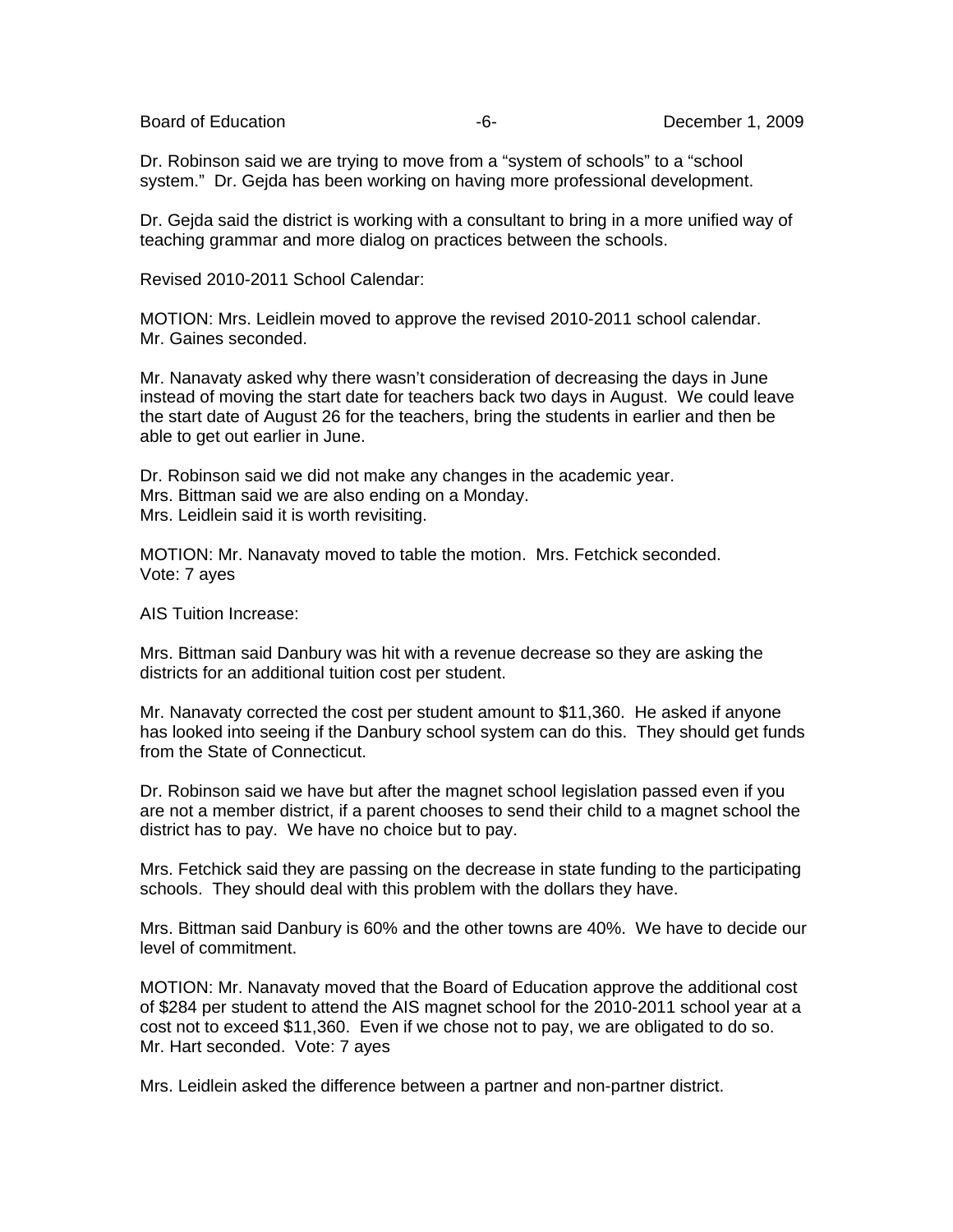Dr. Robinson said we are trying to move from a "system of schools" to a "school system." Dr. Gejda has been working on having more professional development.

Dr. Gejda said the district is working with a consultant to bring in a more unified way of teaching grammar and more dialog on practices between the schools.

Revised 2010-2011 School Calendar:

MOTION: Mrs. Leidlein moved to approve the revised 2010-2011 school calendar. Mr. Gaines seconded.

Mr. Nanavaty asked why there wasn't consideration of decreasing the days in June instead of moving the start date for teachers back two days in August. We could leave the start date of August 26 for the teachers, bring the students in earlier and then be able to get out earlier in June.

Dr. Robinson said we did not make any changes in the academic year. Mrs. Bittman said we are also ending on a Monday. Mrs. Leidlein said it is worth revisiting.

MOTION: Mr. Nanavaty moved to table the motion. Mrs. Fetchick seconded. Vote: 7 ayes

AIS Tuition Increase:

Mrs. Bittman said Danbury was hit with a revenue decrease so they are asking the districts for an additional tuition cost per student.

Mr. Nanavaty corrected the cost per student amount to \$11,360. He asked if anyone has looked into seeing if the Danbury school system can do this. They should get funds from the State of Connecticut.

Dr. Robinson said we have but after the magnet school legislation passed even if you are not a member district, if a parent chooses to send their child to a magnet school the district has to pay. We have no choice but to pay.

Mrs. Fetchick said they are passing on the decrease in state funding to the participating schools. They should deal with this problem with the dollars they have.

Mrs. Bittman said Danbury is 60% and the other towns are 40%. We have to decide our level of commitment.

MOTION: Mr. Nanavaty moved that the Board of Education approve the additional cost of \$284 per student to attend the AIS magnet school for the 2010-2011 school year at a cost not to exceed \$11,360. Even if we chose not to pay, we are obligated to do so. Mr. Hart seconded. Vote: 7 ayes

Mrs. Leidlein asked the difference between a partner and non-partner district.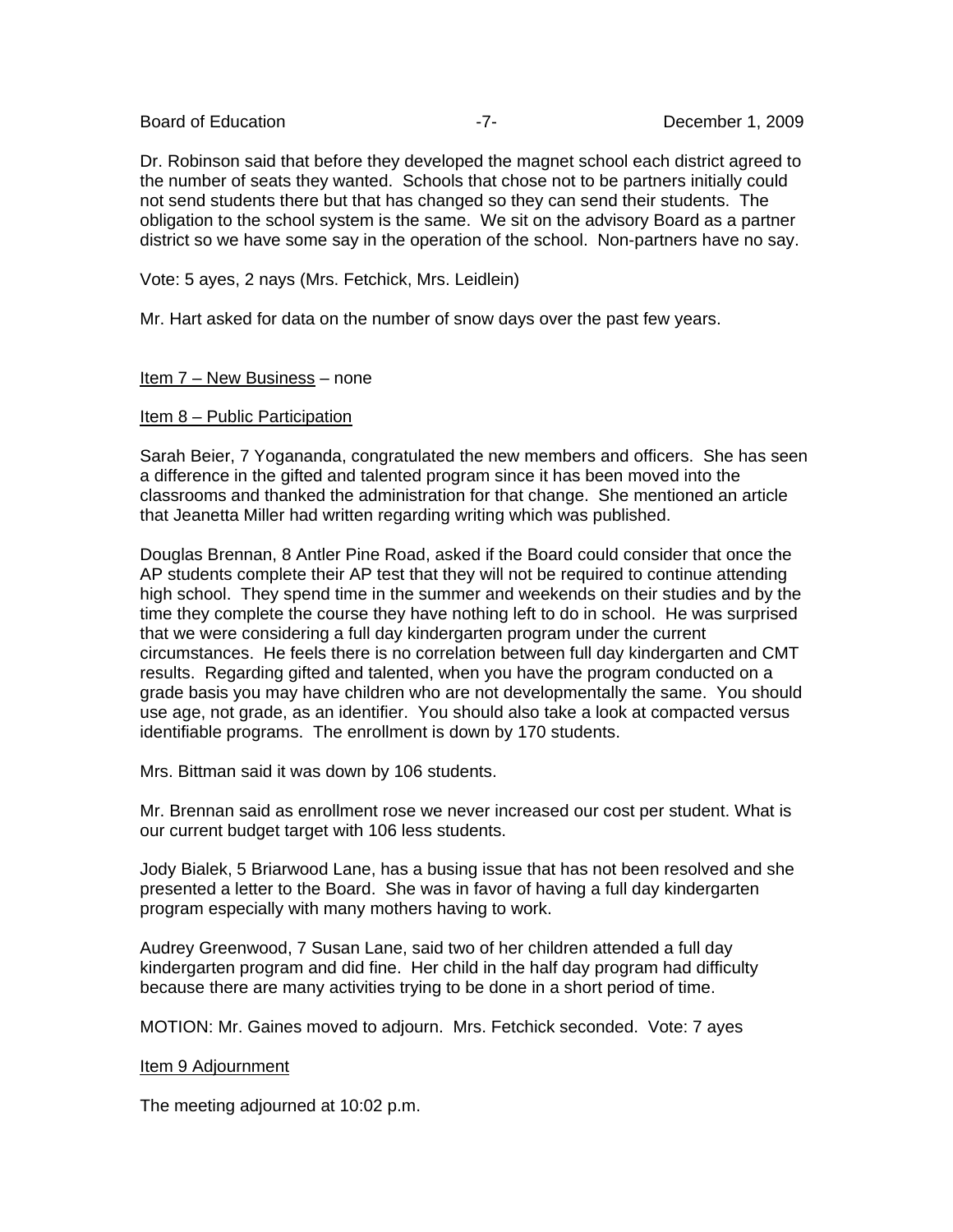Dr. Robinson said that before they developed the magnet school each district agreed to the number of seats they wanted. Schools that chose not to be partners initially could not send students there but that has changed so they can send their students. The obligation to the school system is the same. We sit on the advisory Board as a partner district so we have some say in the operation of the school. Non-partners have no say.

Vote: 5 ayes, 2 nays (Mrs. Fetchick, Mrs. Leidlein)

Mr. Hart asked for data on the number of snow days over the past few years.

# Item 7 – New Business – none

Item 8 – Public Participation

Sarah Beier, 7 Yogananda, congratulated the new members and officers. She has seen a difference in the gifted and talented program since it has been moved into the classrooms and thanked the administration for that change. She mentioned an article that Jeanetta Miller had written regarding writing which was published.

Douglas Brennan, 8 Antler Pine Road, asked if the Board could consider that once the AP students complete their AP test that they will not be required to continue attending high school. They spend time in the summer and weekends on their studies and by the time they complete the course they have nothing left to do in school. He was surprised that we were considering a full day kindergarten program under the current circumstances. He feels there is no correlation between full day kindergarten and CMT results. Regarding gifted and talented, when you have the program conducted on a grade basis you may have children who are not developmentally the same. You should use age, not grade, as an identifier. You should also take a look at compacted versus identifiable programs. The enrollment is down by 170 students.

Mrs. Bittman said it was down by 106 students.

Mr. Brennan said as enrollment rose we never increased our cost per student. What is our current budget target with 106 less students.

Jody Bialek, 5 Briarwood Lane, has a busing issue that has not been resolved and she presented a letter to the Board. She was in favor of having a full day kindergarten program especially with many mothers having to work.

Audrey Greenwood, 7 Susan Lane, said two of her children attended a full day kindergarten program and did fine. Her child in the half day program had difficulty because there are many activities trying to be done in a short period of time.

MOTION: Mr. Gaines moved to adjourn. Mrs. Fetchick seconded. Vote: 7 ayes

## Item 9 Adjournment

The meeting adjourned at 10:02 p.m.